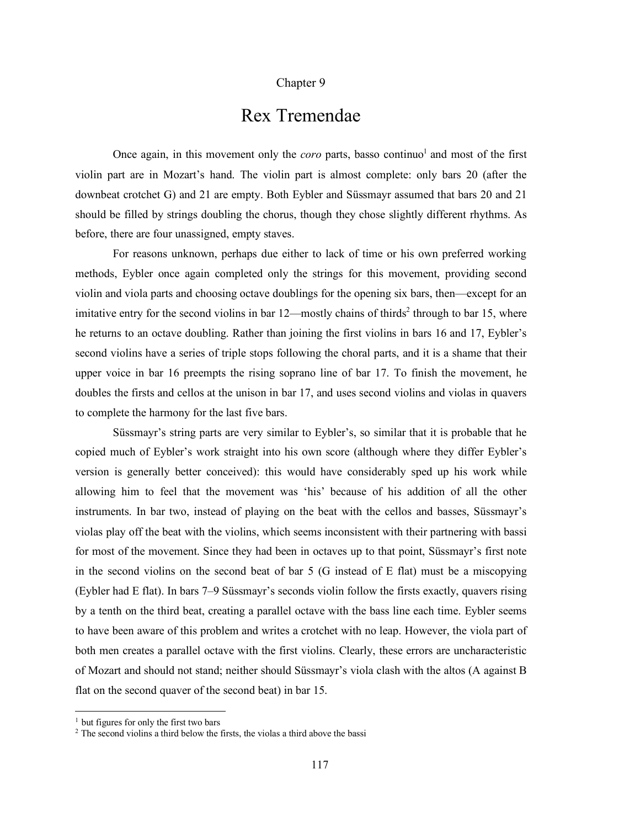## Chapter 9

## Rex Tremendae

Once again, in this movement only the *coro* parts, basso continuo<sup>1</sup> and most of the first violin part are in Mozart's hand. The violin part is almost complete: only bars 20 (after the downbeat crotchet G) and 21 are empty. Both Eybler and Süssmayr assumed that bars 20 and 21 should be filled by strings doubling the chorus, though they chose slightly different rhythms. As before, there are four unassigned, empty staves.

For reasons unknown, perhaps due either to lack of time or his own preferred working methods, Eybler once again completed only the strings for this movement, providing second violin and viola parts and choosing octave doublings for the opening six bars, then—except for an imitative entry for the second violins in bar  $12$ —mostly chains of thirds<sup>2</sup> through to bar 15, where he returns to an octave doubling. Rather than joining the first violins in bars 16 and 17, Eybler's second violins have a series of triple stops following the choral parts, and it is a shame that their upper voice in bar 16 preempts the rising soprano line of bar 17. To finish the movement, he doubles the firsts and cellos at the unison in bar 17, and uses second violins and violas in quavers to complete the harmony for the last five bars.

Süssmayr's string parts are very similar to Eybler's, so similar that it is probable that he copied much of Eybler's work straight into his own score (although where they differ Eybler's version is generally better conceived): this would have considerably sped up his work while allowing him to feel that the movement was 'his' because of his addition of all the other instruments. In bar two, instead of playing on the beat with the cellos and basses, Süssmayr's violas play off the beat with the violins, which seems inconsistent with their partnering with bassi for most of the movement. Since they had been in octaves up to that point, Süssmayr's first note in the second violins on the second beat of bar 5 (G instead of E flat) must be a miscopying (Eybler had E flat). In bars 7–9 Süssmayr's seconds violin follow the firsts exactly, quavers rising by a tenth on the third beat, creating a parallel octave with the bass line each time. Eybler seems to have been aware of this problem and writes a crotchet with no leap. However, the viola part of both men creates a parallel octave with the first violins. Clearly, these errors are uncharacteristic of Mozart and should not stand; neither should Süssmayr's viola clash with the altos (A against B flat on the second quaver of the second beat) in bar 15.

<sup>&</sup>lt;sup>1</sup> but figures for only the first two bars

<sup>&</sup>lt;sup>2</sup> The second violins a third below the firsts, the violas a third above the bassi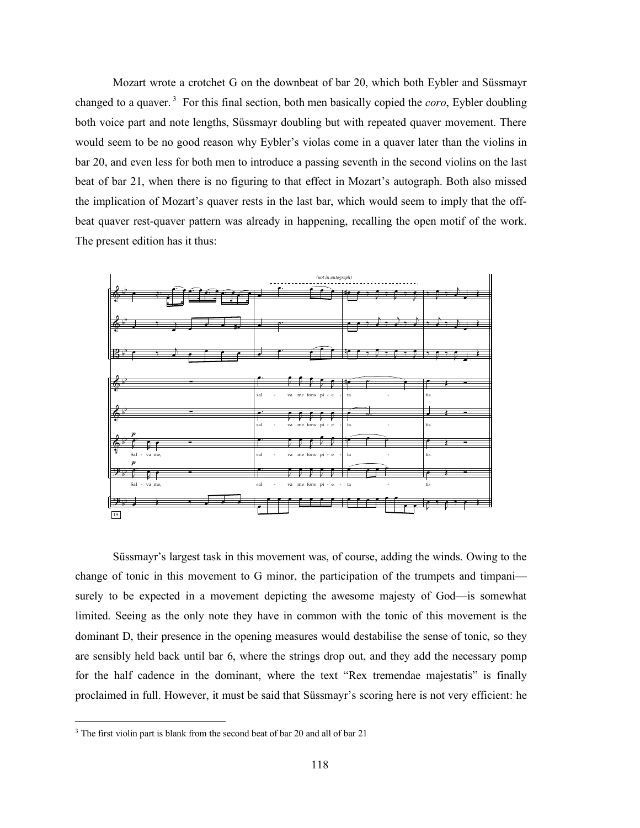Mozart wrote a crotchet G on the downbeat of bar 20, which both Eybler and Süssmayr changed to a quaver. <sup>3</sup> For this final section, both men basically copied the *coro*, Eybler doubling both voice part and note lengths, Süssmayr doubling but with repeated quaver movement. There would seem to be no good reason why Eybler's violas come in a quaver later than the violins in bar 20, and even less for both men to introduce a passing seventh in the second violins on the last beat of bar 21, when there is no figuring to that effect in Mozart's autograph. Both also missed the implication of Mozart's quaver rests in the last bar, which would seem to imply that the offbeat quaver rest-quaver pattern was already in happening, recalling the open motif of the work. b The present edition has it thus: the proton of the proton of the construction of the constant of the constant of the constant of the constant of the constant of the constant of the constant of the constant of the constant of the constant of the constant ? ∑ ∑ ∑ ∑ a<br>San Barat San Barat San Barat San Barat San Barat San Barat San Barat San Barat San Barat San Barat San Barat



Süssmayr's largest task in this movement was, of course, adding the winds. Owing to the change of tonic in this movement to G minor, the participation of the trumpets and timpani surely to be expected in a movement depicting the awesome majesty of God—is somewhat limited. Seeing as the only note they have in common with the tonic of this movement is the dominant D, their presence in the opening measures would destabilise the sense of tonic, so they are sensibly held back until bar 6, where the strings drop out, and they add the necessary pomp for the half cadence in the dominant, where the text "Rex tremendae majestatis" is finally proclaimed in full. However, it must be said that Süssmayr's scoring here is not very efficient: he

<sup>&</sup>lt;sup>3</sup> The first violin part is blank from the second beat of bar 20 and all of bar 21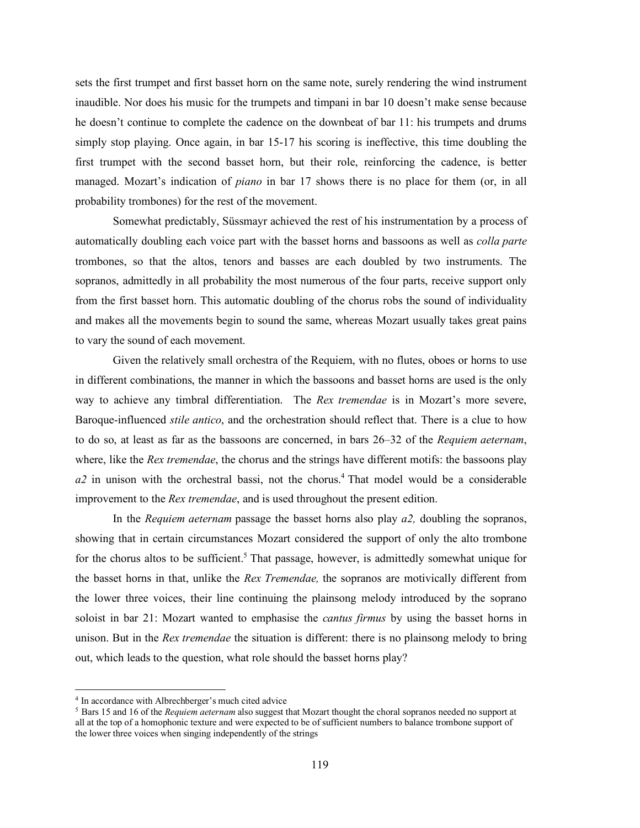sets the first trumpet and first basset horn on the same note, surely rendering the wind instrument inaudible. Nor does his music for the trumpets and timpani in bar 10 doesn't make sense because he doesn't continue to complete the cadence on the downbeat of bar 11: his trumpets and drums simply stop playing. Once again, in bar 15-17 his scoring is ineffective, this time doubling the first trumpet with the second basset horn, but their role, reinforcing the cadence, is better managed. Mozart's indication of *piano* in bar 17 shows there is no place for them (or, in all probability trombones) for the rest of the movement.

Somewhat predictably, Süssmayr achieved the rest of his instrumentation by a process of automatically doubling each voice part with the basset horns and bassoons as well as *colla parte* trombones, so that the altos, tenors and basses are each doubled by two instruments. The sopranos, admittedly in all probability the most numerous of the four parts, receive support only from the first basset horn. This automatic doubling of the chorus robs the sound of individuality and makes all the movements begin to sound the same, whereas Mozart usually takes great pains to vary the sound of each movement.

Given the relatively small orchestra of the Requiem, with no flutes, oboes or horns to use in different combinations, the manner in which the bassoons and basset horns are used is the only way to achieve any timbral differentiation. The *Rex tremendae* is in Mozart's more severe, Baroque-influenced *stile antico*, and the orchestration should reflect that. There is a clue to how to do so, at least as far as the bassoons are concerned, in bars 26–32 of the *Requiem aeternam*, where, like the *Rex tremendae*, the chorus and the strings have different motifs: the bassoons play  $a2$  in unison with the orchestral bassi, not the chorus.<sup>4</sup> That model would be a considerable improvement to the *Rex tremendae*, and is used throughout the present edition.

In the *Requiem aeternam* passage the basset horns also play *a2,* doubling the sopranos, showing that in certain circumstances Mozart considered the support of only the alto trombone for the chorus altos to be sufficient.<sup>5</sup> That passage, however, is admittedly somewhat unique for the basset horns in that, unlike the *Rex Tremendae,* the sopranos are motivically different from the lower three voices, their line continuing the plainsong melody introduced by the soprano soloist in bar 21: Mozart wanted to emphasise the *cantus firmus* by using the basset horns in unison. But in the *Rex tremendae* the situation is different: there is no plainsong melody to bring out, which leads to the question, what role should the basset horns play?

 <sup>4</sup> In accordance with Albrechberger's much cited advice

<sup>5</sup> Bars 15 and 16 of the *Requiem aeternam* also suggest that Mozart thought the choral sopranos needed no support at all at the top of a homophonic texture and were expected to be of sufficient numbers to balance trombone support of the lower three voices when singing independently of the strings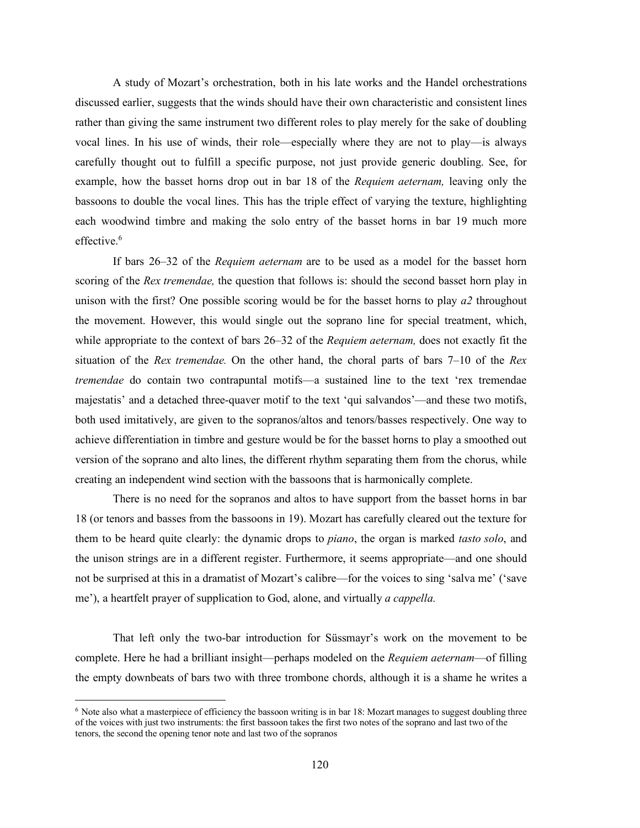A study of Mozart's orchestration, both in his late works and the Handel orchestrations discussed earlier, suggests that the winds should have their own characteristic and consistent lines rather than giving the same instrument two different roles to play merely for the sake of doubling vocal lines. In his use of winds, their role—especially where they are not to play—is always carefully thought out to fulfill a specific purpose, not just provide generic doubling. See, for example, how the basset horns drop out in bar 18 of the *Requiem aeternam,* leaving only the bassoons to double the vocal lines. This has the triple effect of varying the texture, highlighting each woodwind timbre and making the solo entry of the basset horns in bar 19 much more effective $6$ 

If bars 26–32 of the *Requiem aeternam* are to be used as a model for the basset horn scoring of the *Rex tremendae,* the question that follows is: should the second basset horn play in unison with the first? One possible scoring would be for the basset horns to play *a2* throughout the movement. However, this would single out the soprano line for special treatment, which, while appropriate to the context of bars 26–32 of the *Requiem aeternam,* does not exactly fit the situation of the *Rex tremendae.* On the other hand, the choral parts of bars 7–10 of the *Rex tremendae* do contain two contrapuntal motifs—a sustained line to the text 'rex tremendae majestatis' and a detached three-quaver motif to the text 'qui salvandos'—and these two motifs, both used imitatively, are given to the sopranos/altos and tenors/basses respectively. One way to achieve differentiation in timbre and gesture would be for the basset horns to play a smoothed out version of the soprano and alto lines, the different rhythm separating them from the chorus, while creating an independent wind section with the bassoons that is harmonically complete.

There is no need for the sopranos and altos to have support from the basset horns in bar 18 (or tenors and basses from the bassoons in 19). Mozart has carefully cleared out the texture for them to be heard quite clearly: the dynamic drops to *piano*, the organ is marked *tasto solo*, and the unison strings are in a different register. Furthermore, it seems appropriate—and one should not be surprised at this in a dramatist of Mozart's calibre—for the voices to sing 'salva me' ('save me'), a heartfelt prayer of supplication to God, alone, and virtually *a cappella.*

That left only the two-bar introduction for Süssmayr's work on the movement to be complete. Here he had a brilliant insight—perhaps modeled on the *Requiem aeternam*—of filling the empty downbeats of bars two with three trombone chords, although it is a shame he writes a

 <sup>6</sup> Note also what <sup>a</sup> masterpiece of efficiency the bassoon writing is in bar 18: Mozart manages to suggest doubling three of the voices with just two instruments: the first bassoon takes the first two notes of the soprano and last two of the tenors, the second the opening tenor note and last two of the sopranos